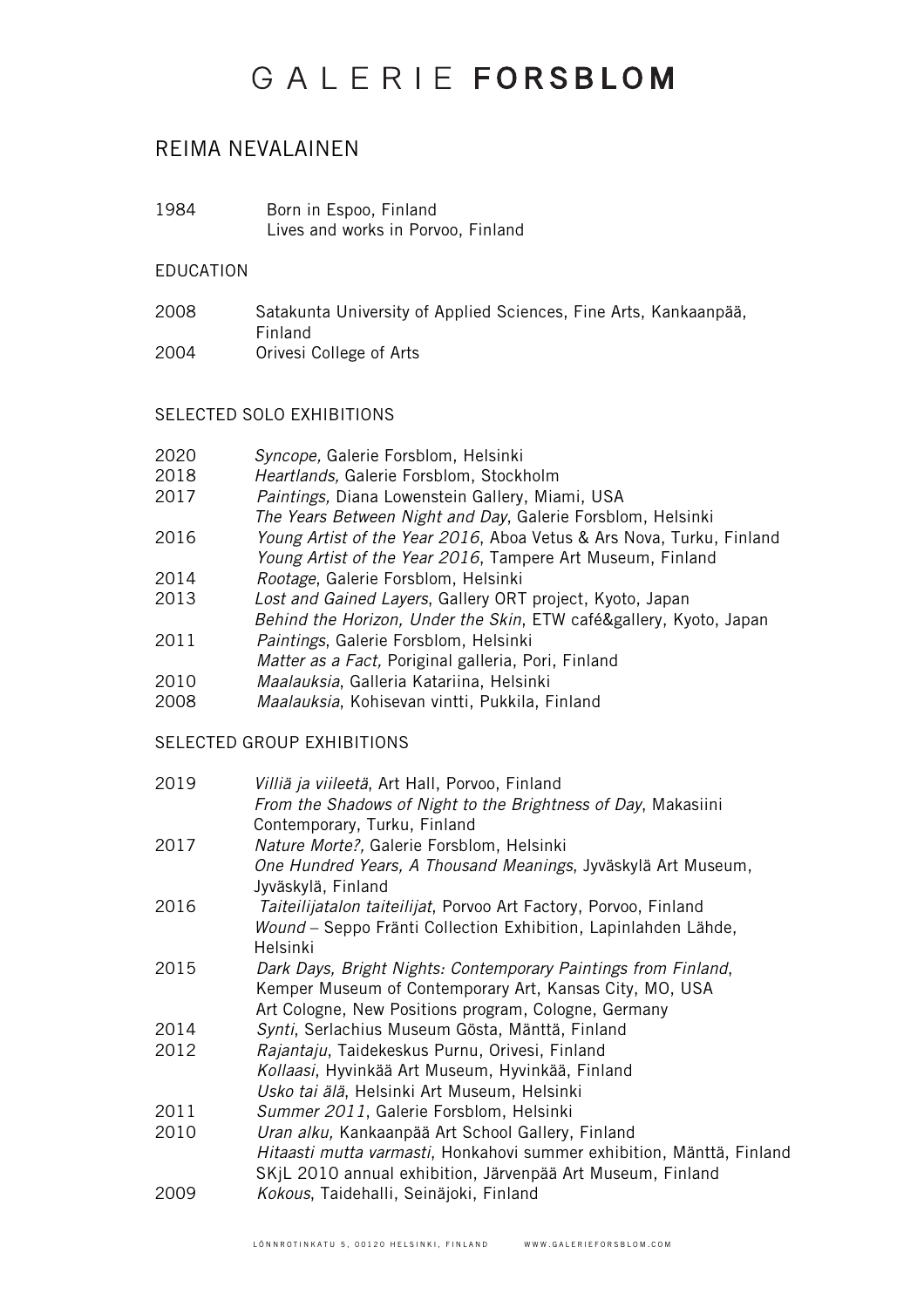# GAIFRIFFORSBLOM

### REIMA NEVALAINEN

1984 Born in Espoo, Finland Lives and works in Porvoo, Finland

#### EDUCATION

2008 Satakunta University of Applied Sciences, Fine Arts, Kankaanpää, Finland 2004 Orivesi College of Arts

### SELECTED SOLO EXHIBITIONS

- 2020 *Syncope,* Galerie Forsblom, Helsinki
- 2018 *Heartlands,* Galerie Forsblom, Stockholm
- 2017 *Paintings,* Diana Lowenstein Gallery, Miami, USA
- *The Years Between Night and Day*, Galerie Forsblom, Helsinki 2016 *Young Artist of the Year 2016*, Aboa Vetus & Ars Nova, Turku, Finland
- *Young Artist of the Year 2016*, Tampere Art Museum, Finland
- 2014 *Rootage*, Galerie Forsblom, Helsinki
- 2013 *Lost and Gained Layers*, Gallery ORT project, Kyoto, Japan *Behind the Horizon, Under the Skin*, ETW café&gallery, Kyoto, Japan
- 2011 *Paintings*, Galerie Forsblom, Helsinki *Matter as a Fact,* Poriginal galleria, Pori, Finland
- 2010 *Maalauksia*, Galleria Katariina, Helsinki
- 2008 *Maalauksia*, Kohisevan vintti, Pukkila, Finland

#### SELECTED GROUP EXHIBITIONS

| 2019 | Villiä ja viileetä, Art Hall, Porvoo, Finland                         |
|------|-----------------------------------------------------------------------|
|      | From the Shadows of Night to the Brightness of Day, Makasiini         |
|      | Contemporary, Turku, Finland                                          |
| 2017 | Nature Morte?, Galerie Forsblom, Helsinki                             |
|      | One Hundred Years, A Thousand Meanings, Jyväskylä Art Museum,         |
|      | Jyväskylä, Finland                                                    |
| 2016 | Taiteilijatalon taiteilijat, Porvoo Art Factory, Porvoo, Finland      |
|      | Wound – Seppo Fränti Collection Exhibition, Lapinlahden Lähde,        |
|      | Helsinki                                                              |
| 2015 | Dark Days, Bright Nights: Contemporary Paintings from Finland,        |
|      | Kemper Museum of Contemporary Art, Kansas City, MO, USA               |
|      | Art Cologne, New Positions program, Cologne, Germany                  |
| 2014 | Synti, Serlachius Museum Gösta, Mänttä, Finland                       |
| 2012 | Rajantaju, Taidekeskus Purnu, Orivesi, Finland                        |
|      | Kollaasi, Hyvinkää Art Museum, Hyvinkää, Finland                      |
|      | Usko tai älä, Helsinki Art Museum, Helsinki                           |
| 2011 | Summer 2011, Galerie Forsblom, Helsinki                               |
| 2010 | Uran alku, Kankaanpää Art School Gallery, Finland                     |
|      | Hitaasti mutta varmasti, Honkahovi summer exhibition, Mänttä, Finland |
|      | SKjL 2010 annual exhibition, Järvenpää Art Museum, Finland            |
| 2009 | Kokous, Taidehalli, Seinäjoki, Finland                                |
|      |                                                                       |